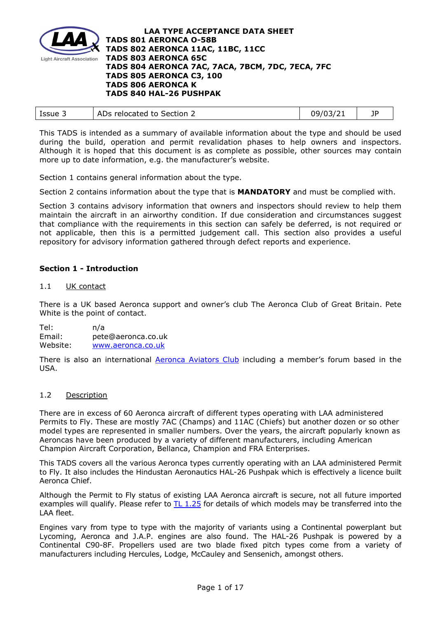

| د Issue | ADs relocated to Section 2 | 09/03/21 |  |
|---------|----------------------------|----------|--|
|         |                            |          |  |

This TADS is intended as a summary of available information about the type and should be used during the build, operation and permit revalidation phases to help owners and inspectors. Although it is hoped that this document is as complete as possible, other sources may contain more up to date information, e.g. the manufacturer's website.

Section 1 contains general information about the type.

Section 2 contains information about the type that is **MANDATORY** and must be complied with.

Section 3 contains advisory information that owners and inspectors should review to help them maintain the aircraft in an airworthy condition. If due consideration and circumstances suggest that compliance with the requirements in this section can safely be deferred, is not required or not applicable, then this is a permitted judgement call. This section also provides a useful repository for advisory information gathered through defect reports and experience.

# **Section 1 - Introduction**

### 1.1 UK contact

There is a UK based Aeronca support and owner's club The Aeronca Club of Great Britain. Pete White is the point of contact.

Tel: n/a Email: pete@aeronca.co.uk<br>Website: www.aeronca.co.uk [www.aeronca.co.uk](http://www.aeronca.co.uk/)

There is also an international **Aeronca Aviators Club** including a member's forum based in the USA.

# 1.2 Description

There are in excess of 60 Aeronca aircraft of different types operating with LAA administered Permits to Fly. These are mostly 7AC (Champs) and 11AC (Chiefs) but another dozen or so other model types are represented in smaller numbers. Over the years, the aircraft popularly known as Aeroncas have been produced by a variety of different manufacturers, including American Champion Aircraft Corporation, Bellanca, Champion and FRA Enterprises.

This TADS covers all the various Aeronca types currently operating with an LAA administered Permit to Fly. It also includes the Hindustan Aeronautics HAL-26 Pushpak which is effectively a licence built Aeronca Chief.

Although the Permit to Fly status of existing LAA Aeronca aircraft is secure, not all future imported examples will qualify. Please refer to [TL 1.25](http://www.lightaircraftassociation.co.uk/engineering/TechnicalLeaflets/Building,%20Buying%20or%20Importing/TL%201.25%20Vintage%20aircraft%20types%20eligible%20for%20an%20LAA%20Permit%20to%20Fly.pdf) for details of which models may be transferred into the LAA fleet.

Engines vary from type to type with the majority of variants using a Continental powerplant but Lycoming, Aeronca and J.A.P. engines are also found. The HAL-26 Pushpak is powered by a Continental C90-8F. Propellers used are two blade fixed pitch types come from a variety of manufacturers including Hercules, Lodge, McCauley and Sensenich, amongst others.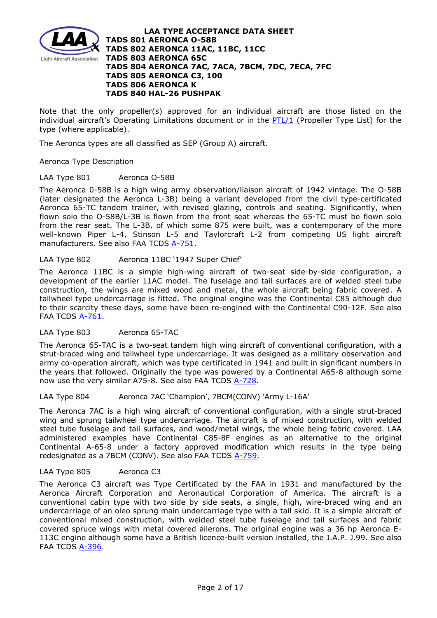

Note that the only propeller(s) approved for an individual aircraft are those listed on the individual aircraft's Operating Limitations document or in the [PTL/1](http://www.lightaircraftassociation.co.uk/engineering/NewMods/PTL.html) (Propeller Type List) for the type (where applicable).

The Aeronca types are all classified as SEP (Group A) aircraft.

# Aeronca Type Description

# LAA Type 801 Aeronca O-58B

The Aeronca 0-58B is a high wing army observation/liaison aircraft of 1942 vintage. The O-58B (later designated the Aeronca L-3B) being a variant developed from the civil type-certificated Aeronca 65-TC tandem trainer, with revised glazing, controls and seating. Significantly, when flown solo the O-58B/L-3B is flown from the front seat whereas the 65-TC must be flown solo from the rear seat. The L-3B, of which some 875 were built, was a contemporary of the more well-known Piper L-4, Stinson L-5 and Taylorcraft L-2 from competing US light aircraft manufacturers. See also FAA TCDS [A-751.](http://rgl.faa.gov/Regulatory_and_Guidance_Library/rgMakeModel.nsf/0/42ca19eb8ea60be78625746a0060dacc/$FILE/A-751.pdf)

# LAA Type 802 Aeronca 11BC '1947 Super Chief'

The Aeronca 11BC is a simple high-wing aircraft of two-seat side-by-side configuration, a development of the earlier 11AC model. The fuselage and tail surfaces are of welded steel tube construction, the wings are mixed wood and metal, the whole aircraft being fabric covered. A tailwheel type undercarriage is fitted. The original engine was the Continental C85 although due to their scarcity these days, some have been re-engined with the Continental C90-12F. See also FAA TCDS [A-761.](http://rgl.faa.gov/Regulatory_and_Guidance_Library/rgMakeModel.nsf/0/fc049d25cc6b1cd28625753c004e3fa0/$FILE/A-761.pdf)

# LAA Type 803 Aeronca 65-TAC

The Aeronca 65-TAC is a two-seat tandem high wing aircraft of conventional configuration, with a strut-braced wing and tailwheel type undercarriage. It was designed as a military observation and army co-operation aircraft, which was type certificated in 1941 and built in significant numbers in the years that followed. Originally the type was powered by a Continental A65-8 although some now use the very similar A75-8. See also FAA TCDS [A-728.](http://rgl.faa.gov/Regulatory_and_Guidance_Library/rgMakeModel.nsf/0/5764d19ab071d58486257cd0006a093d/$FILE/ATT0NJ9Z.pdf/A-728_Rev_6.pdf)

LAA Type 804 Aeronca 7AC 'Champion', 7BCM(CONV) 'Army L-16A'

The Aeronca 7AC is a high wing aircraft of conventional configuration, with a single strut-braced wing and sprung tailwheel type undercarriage. The aircraft is of mixed construction, with welded steel tube fuselage and tail surfaces, and wood/metal wings, the whole being fabric covered. LAA administered examples have Continental C85-8F engines as an alternative to the original Continental A-65-8 under a factory approved modification which results in the type being redesignated as a 7BCM (CONV). See also FAA TCDS [A-759.](http://rgl.faa.gov/Regulatory_and_Guidance_Library/rgMakeModel.nsf/0/2b3fa1c355e95f9a862578380053d423/$FILE/A-759%20Rev%2073.pdf)

# LAA Type 805 Aeronca C3

The Aeronca C3 aircraft was Type Certificated by the FAA in 1931 and manufactured by the Aeronca Aircraft Corporation and Aeronautical Corporation of America. The aircraft is a conventional cabin type with two side by side seats, a single, high, wire-braced wing and an undercarriage of an oleo sprung main undercarriage type with a tail skid. It is a simple aircraft of conventional mixed construction, with welded steel tube fuselage and tail surfaces and fabric covered spruce wings with metal covered ailerons. The original engine was a 36 hp Aeronca E-113C engine although some have a British licence-built version installed, the J.A.P. J.99. See also FAA TCDS [A-396.](http://rgl.faa.gov/Regulatory_and_Guidance_Library/rgMakeModel.nsf/0/b759fefe2d16d9988625746a00601f49/$FILE/A-396.pdf)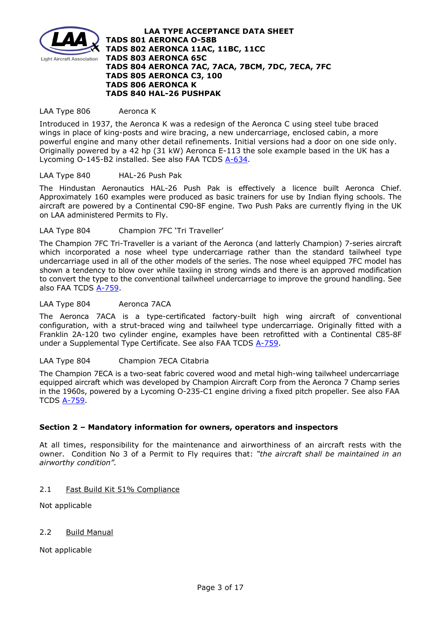

### LAA Type 806 Aeronca K

Introduced in 1937, the Aeronca K was a redesign of the [Aeronca C](https://en.wikipedia.org/wiki/Aeronca_C) using steel tube braced wings in place of king-posts and wire bracing, a new undercarriage, enclosed cabin, a more powerful engine and many other detail refinements. Initial versions had a door on one side only. Originally powered by a 42 hp (31 kW) [Aeronca E-113](https://en.wikipedia.org/wiki/Aeronca_E-113) the sole example based in the UK has a Lycoming O-145-B2 installed. See also FAA TCDS [A-634.](http://rgl.faa.gov/Regulatory_and_Guidance_Library/rgMakeModel.nsf/0/cf8a0a90173f66ec8525672a0071a79b/$FILE/A-634.pdf)

### LAA Type 840 HAL-26 Push Pak

The Hindustan Aeronautics HAL-26 Push Pak is effectively a licence built Aeronca Chief. Approximately 160 examples were produced as basic trainers for use by Indian flying schools. The aircraft are powered by a Continental C90-8F engine. Two Push Paks are currently flying in the UK on LAA administered Permits to Fly.

### LAA Type 804 Champion 7FC 'Tri Traveller'

The Champion 7FC Tri-Traveller is a variant of the Aeronca (and latterly Champion) 7-series aircraft which incorporated a nose wheel type undercarriage rather than the standard tailwheel type undercarriage used in all of the other models of the series. The nose wheel equipped 7FC model has shown a tendency to blow over while taxiing in strong winds and there is an approved modification to convert the type to the conventional tailwheel undercarriage to improve the ground handling. See also FAA TCDS [A-759.](http://rgl.faa.gov/Regulatory_and_Guidance_Library/rgMakeModel.nsf/0/2b3fa1c355e95f9a862578380053d423/$FILE/A-759%20Rev%2073.pdf)

### LAA Type 804 Aeronca 7ACA

The Aeronca 7ACA is a type-certificated factory-built high wing aircraft of conventional configuration, with a strut-braced wing and tailwheel type undercarriage. Originally fitted with a Franklin 2A-120 two cylinder engine, examples have been retrofitted with a Continental C85-8F under a Supplemental Type Certificate. See also FAA TCDS [A-759.](http://rgl.faa.gov/Regulatory_and_Guidance_Library/rgMakeModel.nsf/0/2b3fa1c355e95f9a862578380053d423/$FILE/A-759%20Rev%2073.pdf)

# LAA Type 804 Champion 7ECA Citabria

The Champion 7ECA is a two-seat fabric covered wood and metal high-wing tailwheel undercarriage equipped aircraft which was developed by Champion Aircraft Corp from the Aeronca 7 Champ series in the 1960s, powered by a Lycoming O-235-C1 engine driving a fixed pitch propeller. See also FAA TCDS [A-759.](http://rgl.faa.gov/Regulatory_and_Guidance_Library/rgMakeModel.nsf/0/2b3fa1c355e95f9a862578380053d423/$FILE/A-759%20Rev%2073.pdf)

# **Section 2 – Mandatory information for owners, operators and inspectors**

At all times, responsibility for the maintenance and airworthiness of an aircraft rests with the owner. Condition No 3 of a Permit to Fly requires that: *"the aircraft shall be maintained in an airworthy condition".* 

### 2.1 Fast Build Kit 51% Compliance

Not applicable

# 2.2 Build Manual

Not applicable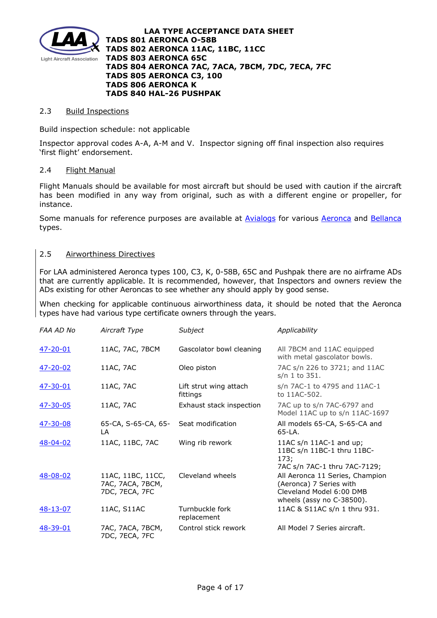

### 2.3 Build Inspections

Build inspection schedule: not applicable

Inspector approval codes A-A, A-M and V. Inspector signing off final inspection also requires 'first flight' endorsement.

# 2.4 Flight Manual

Flight Manuals should be available for most aircraft but should be used with caution if the aircraft has been modified in any way from original, such as with a different engine or propeller, for instance.

Some manuals for reference purposes are available at [Avialogs](http://www.avialogs.com/) for various [Aeronca](http://www.avialogs.com/index.php/en/aircraft/usa/aeronca.html) and [Bellanca](http://www.avialogs.com/index.php/en/aircraft/usa/bellanca.html) types.

# 2.5 Airworthiness Directives

For LAA administered Aeronca types 100, C3, K, 0-58B, 65C and Pushpak there are no airframe ADs that are currently applicable. It is recommended, however, that Inspectors and owners review the ADs existing for other Aeroncas to see whether any should apply by good sense.

When checking for applicable continuous airworthiness data, it should be noted that the Aeronca types have had various type certificate owners through the years.

| FAA AD No       | Aircraft Type                                           | Subject                            | Applicability                                                                                                       |
|-----------------|---------------------------------------------------------|------------------------------------|---------------------------------------------------------------------------------------------------------------------|
| $47 - 20 - 01$  | 11AC, 7AC, 7BCM                                         | Gascolator bowl cleaning           | All 7BCM and 11AC equipped<br>with metal gascolator bowls.                                                          |
| $47 - 20 - 02$  | 11AC, 7AC                                               | Oleo piston                        | 7AC s/n 226 to 3721; and 11AC<br>s/n 1 to 351.                                                                      |
| <u>47-30-01</u> | 11AC, 7AC                                               | Lift strut wing attach<br>fittings | s/n 7AC-1 to 4795 and 11AC-1<br>to 11AC-502.                                                                        |
| $47 - 30 - 05$  | 11AC, 7AC                                               | Exhaust stack inspection           | 7AC up to s/n 7AC-6797 and<br>Model 11AC up to s/n 11AC-1697                                                        |
| 47-30-08        | 65-CA, S-65-CA, 65-<br>LA                               | Seat modification                  | All models 65-CA, S-65-CA and<br>$65-LA$ .                                                                          |
| 48-04-02        | 11AC, 11BC, 7AC                                         | Wing rib rework                    | 11AC $s/n$ 11AC-1 and up;<br>11BC s/n 11BC-1 thru 11BC-<br>173;<br>7AC s/n 7AC-1 thru 7AC-7129;                     |
| 48-08-02        | 11AC, 11BC, 11CC,<br>7AC, 7ACA, 7BCM,<br>7DC, 7ECA, 7FC | Cleveland wheels                   | All Aeronca 11 Series, Champion<br>(Aeronca) 7 Series with<br>Cleveland Model 6:00 DMB<br>wheels (assy no C-38500). |
| $48 - 13 - 07$  | 11AC, S11AC                                             | Turnbuckle fork<br>replacement     | 11AC & S11AC s/n 1 thru 931.                                                                                        |
| <u>48-39-01</u> | 7AC, 7ACA, 7BCM,<br>7DC, 7ECA, 7FC                      | Control stick rework               | All Model 7 Series aircraft.                                                                                        |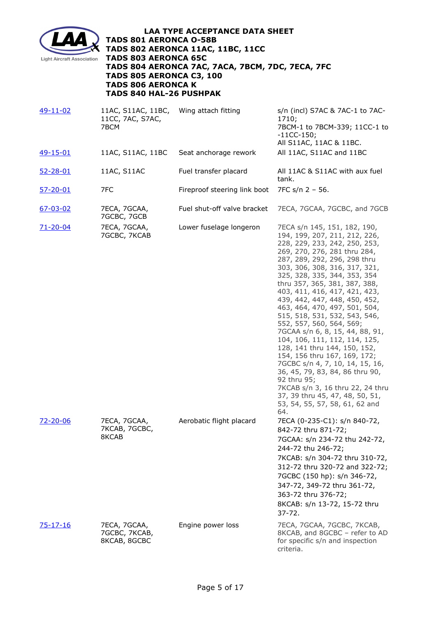

| 49-11-02        | 11AC, S11AC, 11BC,<br>11CC, 7AC, S7AC,<br>7BCM | Wing attach fitting          | s/n (incl) S7AC & 7AC-1 to 7AC-<br>1710;<br>7BCM-1 to 7BCM-339; 11CC-1 to<br>$-11CC-150;$<br>All S11AC, 11AC & 11BC.                                                                                                                                                                                                                                                                                                                                                                                                                                                                                                                                                                                                                                                      |
|-----------------|------------------------------------------------|------------------------------|---------------------------------------------------------------------------------------------------------------------------------------------------------------------------------------------------------------------------------------------------------------------------------------------------------------------------------------------------------------------------------------------------------------------------------------------------------------------------------------------------------------------------------------------------------------------------------------------------------------------------------------------------------------------------------------------------------------------------------------------------------------------------|
| 49-15-01        | 11AC, S11AC, 11BC                              | Seat anchorage rework        | All 11AC, S11AC and 11BC                                                                                                                                                                                                                                                                                                                                                                                                                                                                                                                                                                                                                                                                                                                                                  |
| $52 - 28 - 01$  | 11AC, S11AC                                    | Fuel transfer placard        | All 11AC & S11AC with aux fuel<br>tank.                                                                                                                                                                                                                                                                                                                                                                                                                                                                                                                                                                                                                                                                                                                                   |
| <u>57-20-01</u> | 7FC                                            | Fireproof steering link boot | 7FC s/n 2 - 56.                                                                                                                                                                                                                                                                                                                                                                                                                                                                                                                                                                                                                                                                                                                                                           |
| $67 - 03 - 02$  | 7ECA, 7GCAA,<br>7GCBC, 7GCB                    | Fuel shut-off valve bracket  | 7ECA, 7GCAA, 7GCBC, and 7GCB                                                                                                                                                                                                                                                                                                                                                                                                                                                                                                                                                                                                                                                                                                                                              |
| <u>71-20-04</u> | 7ECA, 7GCAA,<br>7GCBC, 7KCAB                   | Lower fuselage longeron      | 7ECA s/n 145, 151, 182, 190,<br>194, 199, 207, 211, 212, 226,<br>228, 229, 233, 242, 250, 253,<br>269, 270, 276, 281 thru 284,<br>287, 289, 292, 296, 298 thru<br>303, 306, 308, 316, 317, 321,<br>325, 328, 335, 344, 353, 354<br>thru 357, 365, 381, 387, 388,<br>403, 411, 416, 417, 421, 423,<br>439, 442, 447, 448, 450, 452,<br>463, 464, 470, 497, 501, 504,<br>515, 518, 531, 532, 543, 546,<br>552, 557, 560, 564, 569;<br>7GCAA s/n 6, 8, 15, 44, 88, 91,<br>104, 106, 111, 112, 114, 125,<br>128, 141 thru 144, 150, 152,<br>154, 156 thru 167, 169, 172;<br>7GCBC s/n 4, 7, 10, 14, 15, 16,<br>36, 45, 79, 83, 84, 86 thru 90,<br>92 thru 95;<br>7KCAB s/n 3, 16 thru 22, 24 thru<br>37, 39 thru 45, 47, 48, 50, 51,<br>53, 54, 55, 57, 58, 61, 62 and<br>64. |
| 72-20-06        | 7ECA, 7GCAA,<br>7KCAB, 7GCBC,<br>8KCAB         | Aerobatic flight placard     | 7ECA (0-235-C1): s/n 840-72,<br>842-72 thru 871-72;<br>7GCAA: s/n 234-72 thu 242-72,<br>244-72 thu 246-72;<br>7KCAB: s/n 304-72 thru 310-72,<br>312-72 thru 320-72 and 322-72;<br>7GCBC (150 hp): s/n 346-72,<br>347-72, 349-72 thru 361-72,<br>363-72 thru 376-72;<br>8KCAB: s/n 13-72, 15-72 thru<br>$37 - 72.$                                                                                                                                                                                                                                                                                                                                                                                                                                                         |
| <u>75-17-16</u> | 7ECA, 7GCAA,<br>7GCBC, 7KCAB,<br>8KCAB, 8GCBC  | Engine power loss            | 7ECA, 7GCAA, 7GCBC, 7KCAB,<br>8KCAB, and 8GCBC - refer to AD<br>for specific s/n and inspection<br>criteria.                                                                                                                                                                                                                                                                                                                                                                                                                                                                                                                                                                                                                                                              |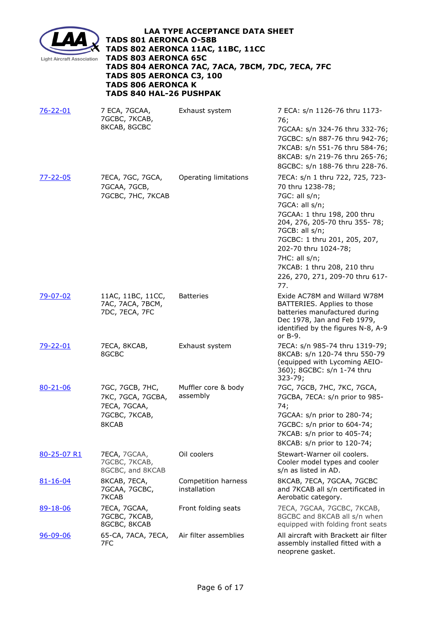

| $76 - 22 - 01$  | 7 ECA, 7GCAA,<br>7GCBC, 7KCAB,<br>8KCAB, 8GCBC                                 | Exhaust system                      | 7 ECA: s/n 1126-76 thru 1173-<br>76;<br>7GCAA: s/n 324-76 thru 332-76;<br>7GCBC: s/n 887-76 thru 942-76;<br>7KCAB: s/n 551-76 thru 584-76;<br>8KCAB: s/n 219-76 thru 265-76;<br>8GCBC: s/n 188-76 thru 228-76.                                                                                                              |
|-----------------|--------------------------------------------------------------------------------|-------------------------------------|-----------------------------------------------------------------------------------------------------------------------------------------------------------------------------------------------------------------------------------------------------------------------------------------------------------------------------|
| <u>77-22-05</u> | 7ECA, 7GC, 7GCA,<br>7GCAA, 7GCB,<br>7GCBC, 7HC, 7KCAB                          | Operating limitations               | 7ECA: s/n 1 thru 722, 725, 723-<br>70 thru 1238-78;<br>7GC: all s/n;<br>7GCA: all s/n;<br>7GCAA: 1 thru 198, 200 thru<br>204, 276, 205-70 thru 355- 78;<br>7GCB: all s/n;<br>7GCBC: 1 thru 201, 205, 207,<br>202-70 thru 1024-78;<br>7HC: all s/n;<br>7KCAB: 1 thru 208, 210 thru<br>226, 270, 271, 209-70 thru 617-<br>77. |
| 79-07-02        | 11AC, 11BC, 11CC,<br>7AC, 7ACA, 7BCM,<br>7DC, 7ECA, 7FC                        | <b>Batteries</b>                    | Exide AC78M and Willard W78M<br>BATTERIES. Applies to those<br>batteries manufactured during<br>Dec 1978, Jan and Feb 1979,<br>identified by the figures N-8, A-9<br>or $B-9$ .                                                                                                                                             |
| 79-22-01        | 7ECA, 8KCAB,<br>8GCBC                                                          | Exhaust system                      | 7ECA: s/n 985-74 thru 1319-79;<br>8KCAB: s/n 120-74 thru 550-79<br>(equipped with Lycoming AEIO-<br>360); 8GCBC: s/n 1-74 thru<br>$323 - 79;$                                                                                                                                                                               |
| $80 - 21 - 06$  | 7GC, 7GCB, 7HC,<br>7KC, 7GCA, 7GCBA,<br>7ECA, 7GCAA,<br>7GCBC, 7KCAB,<br>8KCAB | Muffler core & body<br>assembly     | 7GC, 7GCB, 7HC, 7KC, 7GCA,<br>7GCBA, 7ECA: s/n prior to 985-<br>74;<br>7GCAA: s/n prior to 280-74;<br>7GCBC: s/n prior to 604-74;<br>7KCAB: s/n prior to 405-74;<br>8KCAB: s/n prior to 120-74;                                                                                                                             |
| 80-25-07 R1     | 7ECA, 7GCAA,<br>7GCBC, 7KCAB,<br>8GCBC, and 8KCAB                              | Oil coolers                         | Stewart-Warner oil coolers.<br>Cooler model types and cooler<br>s/n as listed in AD.                                                                                                                                                                                                                                        |
| <u>81-16-04</u> | 8KCAB, 7ECA,<br>7GCAA, 7GCBC,<br>7KCAB                                         | Competition harness<br>installation | 8KCAB, 7ECA, 7GCAA, 7GCBC<br>and 7KCAB all s/n certificated in<br>Aerobatic category.                                                                                                                                                                                                                                       |
| <u>89-18-06</u> | 7ECA, 7GCAA,<br>7GCBC, 7KCAB,<br>8GCBC, 8KCAB                                  | Front folding seats                 | 7ECA, 7GCAA, 7GCBC, 7KCAB,<br>8GCBC and 8KCAB all s/n when<br>equipped with folding front seats                                                                                                                                                                                                                             |
| $96 - 09 - 06$  | 65-CA, 7ACA, 7ECA,<br>7FC                                                      | Air filter assemblies               | All aircraft with Brackett air filter<br>assembly installed fitted with a<br>neoprene gasket.                                                                                                                                                                                                                               |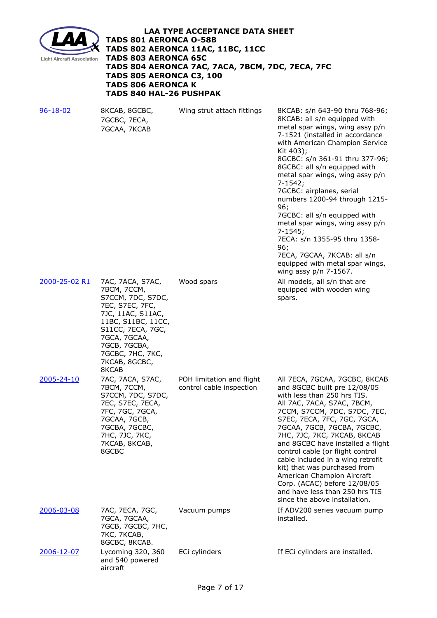

| $96 - 18 - 02$ | 8KCAB, 8GCBC,<br>7GCBC, 7ECA,<br>7GCAA, 7KCAB                                                                                                                                                                         | Wing strut attach fittings                            | 8KCAB: s/n 643-90 thru 768-96;<br>8KCAB: all s/n equipped with<br>metal spar wings, wing assy p/n<br>7-1521 (installed in accordance<br>with American Champion Service<br>Kit 403);<br>8GCBC: s/n 361-91 thru 377-96;<br>8GCBC: all s/n equipped with<br>metal spar wings, wing assy p/n<br>$7 - 1542;$<br>7GCBC: airplanes, serial<br>numbers 1200-94 through 1215-<br>96;<br>7GCBC: all s/n equipped with<br>metal spar wings, wing assy p/n<br>$7 - 1545;$<br>7ECA: s/n 1355-95 thru 1358-<br>96;<br>7ECA, 7GCAA, 7KCAB: all s/n<br>equipped with metal spar wings,<br>wing assy $p/n$ 7-1567. |
|----------------|-----------------------------------------------------------------------------------------------------------------------------------------------------------------------------------------------------------------------|-------------------------------------------------------|---------------------------------------------------------------------------------------------------------------------------------------------------------------------------------------------------------------------------------------------------------------------------------------------------------------------------------------------------------------------------------------------------------------------------------------------------------------------------------------------------------------------------------------------------------------------------------------------------|
| 2000-25-02 R1  | 7AC, 7ACA, S7AC,<br>7BCM, 7CCM,<br>S7CCM, 7DC, S7DC,<br>7EC, S7EC, 7FC,<br>7JC, 11AC, S11AC,<br>11BC, S11BC, 11CC,<br>S11CC, 7ECA, 7GC,<br>7GCA, 7GCAA,<br>7GCB, 7GCBA,<br>7GCBC, 7HC, 7KC,<br>7KCAB, 8GCBC,<br>8KCAB | Wood spars                                            | All models, all s/n that are<br>equipped with wooden wing<br>spars.                                                                                                                                                                                                                                                                                                                                                                                                                                                                                                                               |
| 2005-24-10     | 7AC, 7ACA, S7AC,<br>7BCM, 7CCM,<br>S7CCM, 7DC, S7DC,<br>7EC, S7EC, 7ECA,<br>7FC, 7GC, 7GCA,<br>7GCAA, 7GCB,<br>7GCBA, 7GCBC,<br>7HC, 7JC, 7KC,<br>7KCAB, 8KCAB,<br>8GCBC                                              | POH limitation and flight<br>control cable inspection | All 7ECA, 7GCAA, 7GCBC, 8KCAB<br>and 8GCBC built pre 12/08/05<br>with less than 250 hrs TIS.<br>All 7AC, 7ACA, S7AC, 7BCM,<br>7CCM, S7CCM, 7DC, S7DC, 7EC,<br>S7EC, 7ECA, 7FC, 7GC, 7GCA,<br>7GCAA, 7GCB, 7GCBA, 7GCBC,<br>7HC, 7JC, 7KC, 7KCAB, 8KCAB<br>and 8GCBC have installed a flight<br>control cable (or flight control<br>cable included in a wing retrofit<br>kit) that was purchased from<br>American Champion Aircraft<br>Corp. (ACAC) before 12/08/05<br>and have less than 250 hrs TIS<br>since the above installation.                                                             |
| 2006-03-08     | 7AC, 7ECA, 7GC,<br>7GCA, 7GCAA,<br>7GCB, 7GCBC, 7HC,<br>7KC, 7KCAB,<br>8GCBC, 8KCAB.                                                                                                                                  | Vacuum pumps                                          | If ADV200 series vacuum pump<br>installed.                                                                                                                                                                                                                                                                                                                                                                                                                                                                                                                                                        |
| 2006-12-07     | Lycoming 320, 360<br>and 540 powered<br>aircraft                                                                                                                                                                      | ECi cylinders                                         | If ECi cylinders are installed.                                                                                                                                                                                                                                                                                                                                                                                                                                                                                                                                                                   |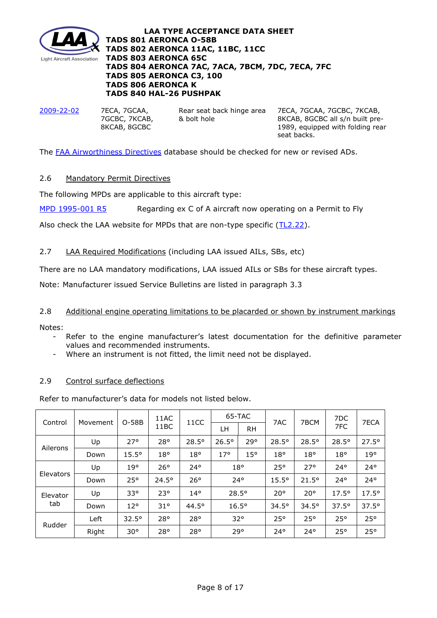

[2009-22-02](http://www.lightaircraftassociation.co.uk/engineering/TADs/801/2009-22-02.pdf) 7ECA, 7GCAA,

7GCBC, 7KCAB, 8KCAB, 8GCBC

Rear seat back hinge area & bolt hole

7ECA, 7GCAA, 7GCBC, 7KCAB, 8KCAB, 8GCBC all s/n built pre-1989, equipped with folding rear seat backs.

The [FAA Airworthiness Directives](http://rgl.faa.gov/Regulatory_and_Guidance_Library/rgAD.nsf/Frameset?OpenPage) database should be checked for new or revised ADs.

# 2.6 Mandatory Permit Directives

The following MPDs are applicable to this aircraft type:

[MPD 1995-001 R5](http://www.lightaircraftassociation.co.uk/engineering/TADs/801/MPD%201995-001%20R5.pdf) Regarding ex C of A aircraft now operating on a Permit to Fly

Also check the LAA website for MPDs that are non-type specific  $(TL2.22)$ .

# 2.7 LAA Required Modifications (including LAA issued AILs, SBs, etc)

There are no LAA mandatory modifications, LAA issued AILs or SBs for these aircraft types.

Note: Manufacturer issued Service Bulletins are listed in paragraph 3.3

# 2.8 Additional engine operating limitations to be placarded or shown by instrument markings

Notes:

- Refer to the engine manufacturer's latest documentation for the definitive parameter values and recommended instruments.
- Where an instrument is not fitted, the limit need not be displayed.

# 2.9 Control surface deflections

Refer to manufacturer's data for models not listed below.

|                 | Movement | O-58B          | 11AC<br>11BC   | 11CC           | 65-TAC         |           |                |                | 7DC            |                |
|-----------------|----------|----------------|----------------|----------------|----------------|-----------|----------------|----------------|----------------|----------------|
| Control         |          |                |                |                | LН             | <b>RH</b> | 7AC            | 7BCM           | 7FC            | 7ECA           |
| Ailerons        | Up       | $27^\circ$     | $28^{\circ}$   | $28.5^{\circ}$ | 26.5°          | 29°       | $28.5^{\circ}$ | $28.5^{\circ}$ | $28.5^{\circ}$ | $27.5^{\circ}$ |
|                 | Down     | $15.5^{\circ}$ | 18°            | $18^{\circ}$   | 17°            | 15°       | $18^{\circ}$   | 18°            | 18°            | 19°            |
| Elevators       | Up       | 19°            | $26^{\circ}$   | $24^{\circ}$   | $18^{\circ}$   |           | $25^{\circ}$   | 27°            | $24^{\circ}$   | $24^{\circ}$   |
|                 | Down     | $25^{\circ}$   | $24.5^{\circ}$ | $26^\circ$     | $24^{\circ}$   |           | $15.5^{\circ}$ | $21.5^{\circ}$ | $24^{\circ}$   | $24^\circ$     |
| Elevator<br>tab | Up       | $33^\circ$     | $23^\circ$     | $14^{\circ}$   | $28.5^{\circ}$ |           | $20^{\circ}$   | $20^{\circ}$   | $17.5^{\circ}$ | $17.5^{\circ}$ |
|                 | Down     | $12^{\circ}$   | 31°            | $44.5^{\circ}$ | $16.5^\circ$   |           | $34.5^{\circ}$ | $34.5^{\circ}$ | $37.5^{\circ}$ | $37.5^{\circ}$ |
| Rudder          | Left     | $32.5^{\circ}$ | 28°            | 28°            | $32^\circ$     |           | $25^{\circ}$   | $25^{\circ}$   | 25°            | 25°            |
|                 | Right    | $30^{\circ}$   | $28^{\circ}$   | $28^{\circ}$   | 29°            |           | $24^{\circ}$   | $24^{\circ}$   | 25°            | 25°            |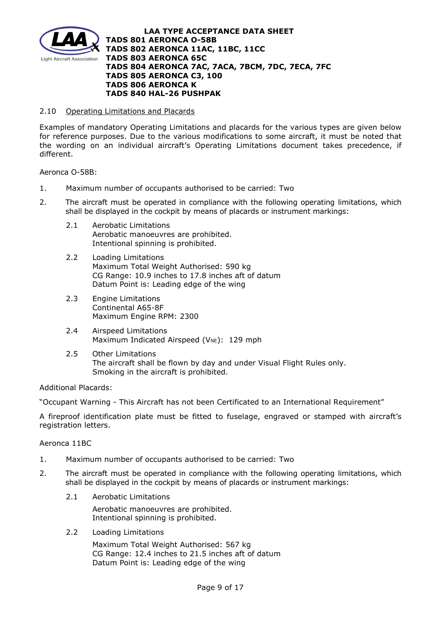

### 2.10 Operating Limitations and Placards

Examples of mandatory Operating Limitations and placards for the various types are given below for reference purposes. Due to the various modifications to some aircraft, it must be noted that the wording on an individual aircraft's Operating Limitations document takes precedence, if different.

Aeronca O-58B:

- 1. Maximum number of occupants authorised to be carried: Two
- 2. The aircraft must be operated in compliance with the following operating limitations, which shall be displayed in the cockpit by means of placards or instrument markings:
	- 2.1 Aerobatic Limitations Aerobatic manoeuvres are prohibited. Intentional spinning is prohibited.
	- 2.2 Loading Limitations Maximum Total Weight Authorised: 590 kg CG Range: 10.9 inches to 17.8 inches aft of datum Datum Point is: Leading edge of the wing
	- 2.3 Engine Limitations Continental A65-8F Maximum Engine RPM: 2300
	- 2.4 Airspeed Limitations Maximum Indicated Airspeed ( $V_{NE}$ ): 129 mph
	- 2.5 Other Limitations The aircraft shall be flown by day and under Visual Flight Rules only. Smoking in the aircraft is prohibited.

# Additional Placards:

"Occupant Warning - This Aircraft has not been Certificated to an International Requirement"

A fireproof identification plate must be fitted to fuselage, engraved or stamped with aircraft's registration letters.

#### Aeronca 11BC

- 1. Maximum number of occupants authorised to be carried: Two
- 2. The aircraft must be operated in compliance with the following operating limitations, which shall be displayed in the cockpit by means of placards or instrument markings:
	- 2.1 Aerobatic Limitations

Aerobatic manoeuvres are prohibited. Intentional spinning is prohibited.

2.2 Loading Limitations

Maximum Total Weight Authorised: 567 kg CG Range: 12.4 inches to 21.5 inches aft of datum Datum Point is: Leading edge of the wing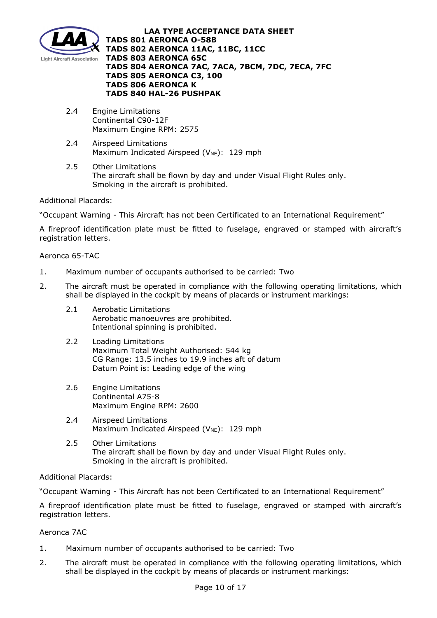

- 2.4 Engine Limitations Continental C90-12F Maximum Engine RPM: 2575
- 2.4 Airspeed Limitations Maximum Indicated Airspeed ( $V_{NE}$ ): 129 mph
- 2.5 Other Limitations The aircraft shall be flown by day and under Visual Flight Rules only. Smoking in the aircraft is prohibited.

# Additional Placards:

"Occupant Warning - This Aircraft has not been Certificated to an International Requirement"

A fireproof identification plate must be fitted to fuselage, engraved or stamped with aircraft's registration letters.

# Aeronca 65-TAC

- 1. Maximum number of occupants authorised to be carried: Two
- 2. The aircraft must be operated in compliance with the following operating limitations, which shall be displayed in the cockpit by means of placards or instrument markings:
	- 2.1 Aerobatic Limitations Aerobatic manoeuvres are prohibited. Intentional spinning is prohibited.
	- 2.2 Loading Limitations Maximum Total Weight Authorised: 544 kg CG Range: 13.5 inches to 19.9 inches aft of datum Datum Point is: Leading edge of the wing
	- 2.6 Engine Limitations Continental A75-8 Maximum Engine RPM: 2600
	- 2.4 Airspeed Limitations Maximum Indicated Airspeed ( $V_{NE}$ ): 129 mph
	- 2.5 Other Limitations The aircraft shall be flown by day and under Visual Flight Rules only. Smoking in the aircraft is prohibited.

# Additional Placards:

"Occupant Warning - This Aircraft has not been Certificated to an International Requirement"

A fireproof identification plate must be fitted to fuselage, engraved or stamped with aircraft's registration letters.

# Aeronca 7AC

- 1. Maximum number of occupants authorised to be carried: Two
- 2. The aircraft must be operated in compliance with the following operating limitations, which shall be displayed in the cockpit by means of placards or instrument markings: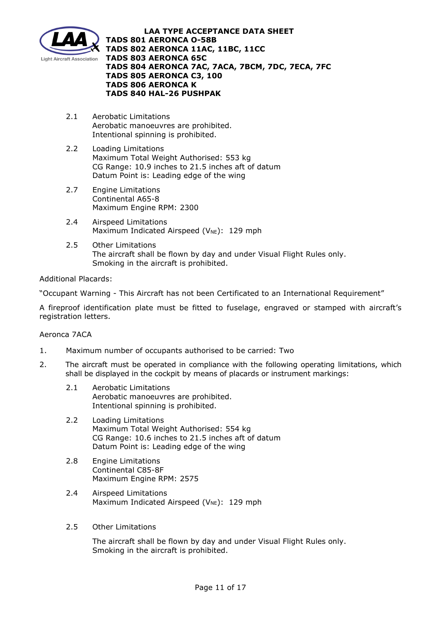

- 2.1 Aerobatic Limitations Aerobatic manoeuvres are prohibited. Intentional spinning is prohibited.
- 2.2 Loading Limitations Maximum Total Weight Authorised: 553 kg CG Range: 10.9 inches to 21.5 inches aft of datum Datum Point is: Leading edge of the wing
- 2.7 Engine Limitations Continental A65-8 Maximum Engine RPM: 2300
- 2.4 Airspeed Limitations Maximum Indicated Airspeed ( $V_{NE}$ ): 129 mph
- 2.5 Other Limitations The aircraft shall be flown by day and under Visual Flight Rules only. Smoking in the aircraft is prohibited.

# Additional Placards:

"Occupant Warning - This Aircraft has not been Certificated to an International Requirement"

A fireproof identification plate must be fitted to fuselage, engraved or stamped with aircraft's registration letters.

# Aeronca 7ACA

- 1. Maximum number of occupants authorised to be carried: Two
- 2. The aircraft must be operated in compliance with the following operating limitations, which shall be displayed in the cockpit by means of placards or instrument markings:
	- 2.1 Aerobatic Limitations Aerobatic manoeuvres are prohibited. Intentional spinning is prohibited.
	- 2.2 Loading Limitations Maximum Total Weight Authorised: 554 kg CG Range: 10.6 inches to 21.5 inches aft of datum Datum Point is: Leading edge of the wing
	- 2.8 Engine Limitations Continental C85-8F Maximum Engine RPM: 2575
	- 2.4 Airspeed Limitations Maximum Indicated Airspeed ( $V_{NE}$ ): 129 mph
	- 2.5 Other Limitations

The aircraft shall be flown by day and under Visual Flight Rules only. Smoking in the aircraft is prohibited.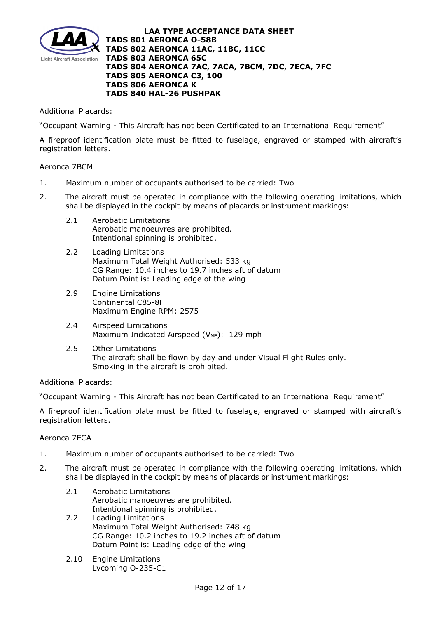

Additional Placards:

"Occupant Warning - This Aircraft has not been Certificated to an International Requirement"

A fireproof identification plate must be fitted to fuselage, engraved or stamped with aircraft's registration letters.

# Aeronca 7BCM

- 1. Maximum number of occupants authorised to be carried: Two
- 2. The aircraft must be operated in compliance with the following operating limitations, which shall be displayed in the cockpit by means of placards or instrument markings:
	- 2.1 Aerobatic Limitations Aerobatic manoeuvres are prohibited. Intentional spinning is prohibited.
	- 2.2 Loading Limitations Maximum Total Weight Authorised: 533 kg CG Range: 10.4 inches to 19.7 inches aft of datum Datum Point is: Leading edge of the wing
	- 2.9 Engine Limitations Continental C85-8F Maximum Engine RPM: 2575
	- 2.4 Airspeed Limitations Maximum Indicated Airspeed ( $V_{NE}$ ): 129 mph
	- 2.5 Other Limitations The aircraft shall be flown by day and under Visual Flight Rules only. Smoking in the aircraft is prohibited.

# Additional Placards:

"Occupant Warning - This Aircraft has not been Certificated to an International Requirement"

A fireproof identification plate must be fitted to fuselage, engraved or stamped with aircraft's registration letters.

# Aeronca 7ECA

- 1. Maximum number of occupants authorised to be carried: Two
- 2. The aircraft must be operated in compliance with the following operating limitations, which shall be displayed in the cockpit by means of placards or instrument markings:
	- 2.1 Aerobatic Limitations Aerobatic manoeuvres are prohibited. Intentional spinning is prohibited.
	- 2.2 Loading Limitations Maximum Total Weight Authorised: 748 kg CG Range: 10.2 inches to 19.2 inches aft of datum Datum Point is: Leading edge of the wing
	- 2.10 Engine Limitations Lycoming O-235-C1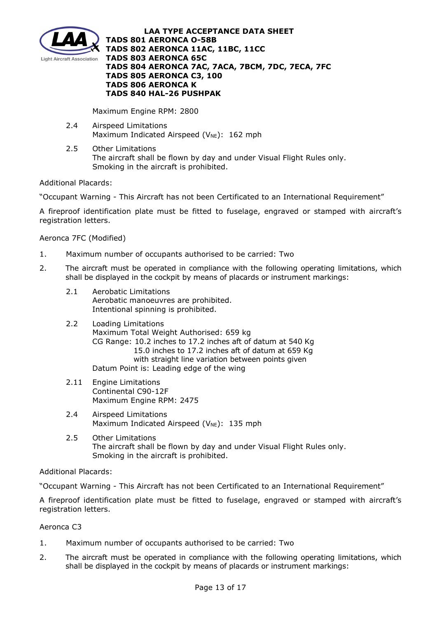

Maximum Engine RPM: 2800

- 2.4 Airspeed Limitations Maximum Indicated Airspeed ( $V_{NE}$ ): 162 mph
- 2.5 Other Limitations The aircraft shall be flown by day and under Visual Flight Rules only. Smoking in the aircraft is prohibited.

Additional Placards:

"Occupant Warning - This Aircraft has not been Certificated to an International Requirement"

A fireproof identification plate must be fitted to fuselage, engraved or stamped with aircraft's registration letters.

Aeronca 7FC (Modified)

- 1. Maximum number of occupants authorised to be carried: Two
- 2. The aircraft must be operated in compliance with the following operating limitations, which shall be displayed in the cockpit by means of placards or instrument markings:
	- 2.1 Aerobatic Limitations Aerobatic manoeuvres are prohibited. Intentional spinning is prohibited.
	- 2.2 Loading Limitations Maximum Total Weight Authorised: 659 kg CG Range: 10.2 inches to 17.2 inches aft of datum at 540 Kg 15.0 inches to 17.2 inches aft of datum at 659 Kg with straight line variation between points given Datum Point is: Leading edge of the wing
	- 2.11 Engine Limitations Continental C90-12F Maximum Engine RPM: 2475
	- 2.4 Airspeed Limitations Maximum Indicated Airspeed ( $V_{NE}$ ): 135 mph
	- 2.5 Other Limitations The aircraft shall be flown by day and under Visual Flight Rules only. Smoking in the aircraft is prohibited.

# Additional Placards:

"Occupant Warning - This Aircraft has not been Certificated to an International Requirement"

A fireproof identification plate must be fitted to fuselage, engraved or stamped with aircraft's registration letters.

Aeronca C3

- 1. Maximum number of occupants authorised to be carried: Two
- 2. The aircraft must be operated in compliance with the following operating limitations, which shall be displayed in the cockpit by means of placards or instrument markings: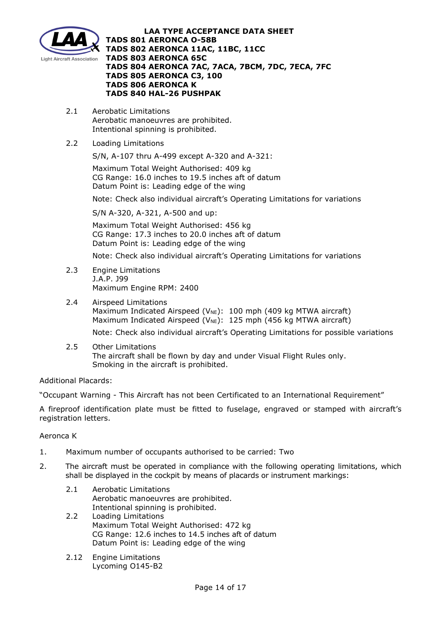

- 2.1 Aerobatic Limitations Aerobatic manoeuvres are prohibited. Intentional spinning is prohibited.
- 2.2 Loading Limitations

S/N, A-107 thru A-499 except A-320 and A-321:

Maximum Total Weight Authorised: 409 kg CG Range: 16.0 inches to 19.5 inches aft of datum Datum Point is: Leading edge of the wing

Note: Check also individual aircraft's Operating Limitations for variations

S/N A-320, A-321, A-500 and up:

Maximum Total Weight Authorised: 456 kg CG Range: 17.3 inches to 20.0 inches aft of datum Datum Point is: Leading edge of the wing

Note: Check also individual aircraft's Operating Limitations for variations

- 2.3 Engine Limitations J.A.P. J99 Maximum Engine RPM: 2400
- 2.4 Airspeed Limitations Maximum Indicated Airspeed ( $V_{NE}$ ): 100 mph (409 kg MTWA aircraft) Maximum Indicated Airspeed ( $V_{NE}$ ): 125 mph (456 kg MTWA aircraft) Note: Check also individual aircraft's Operating Limitations for possible variations
- 2.5 Other Limitations The aircraft shall be flown by day and under Visual Flight Rules only. Smoking in the aircraft is prohibited.

# Additional Placards:

"Occupant Warning - This Aircraft has not been Certificated to an International Requirement"

A fireproof identification plate must be fitted to fuselage, engraved or stamped with aircraft's registration letters.

Aeronca K

- 1. Maximum number of occupants authorised to be carried: Two
- 2. The aircraft must be operated in compliance with the following operating limitations, which shall be displayed in the cockpit by means of placards or instrument markings:
	- 2.1 Aerobatic Limitations Aerobatic manoeuvres are prohibited. Intentional spinning is prohibited.
	- 2.2 Loading Limitations Maximum Total Weight Authorised: 472 kg CG Range: 12.6 inches to 14.5 inches aft of datum Datum Point is: Leading edge of the wing
	- 2.12 Engine Limitations Lycoming O145-B2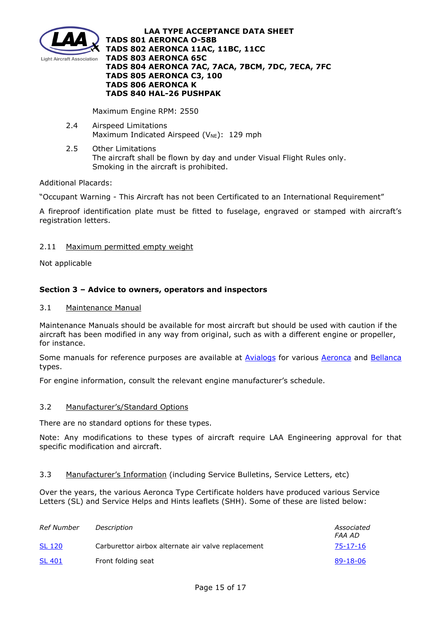

Maximum Engine RPM: 2550

- 2.4 Airspeed Limitations Maximum Indicated Airspeed ( $V_{NE}$ ): 129 mph
- 2.5 Other Limitations The aircraft shall be flown by day and under Visual Flight Rules only. Smoking in the aircraft is prohibited.

# Additional Placards:

"Occupant Warning - This Aircraft has not been Certificated to an International Requirement"

A fireproof identification plate must be fitted to fuselage, engraved or stamped with aircraft's registration letters.

# 2.11 Maximum permitted empty weight

Not applicable

# **Section 3 – Advice to owners, operators and inspectors**

### 3.1 Maintenance Manual

Maintenance Manuals should be available for most aircraft but should be used with caution if the aircraft has been modified in any way from original, such as with a different engine or propeller, for instance.

Some manuals for reference purposes are available at [Avialogs](http://www.avialogs.com/) for various [Aeronca](http://www.avialogs.com/index.php/en/aircraft/usa/aeronca.html) and [Bellanca](http://www.avialogs.com/index.php/en/aircraft/usa/bellanca.html) types.

For engine information, consult the relevant engine manufacturer's schedule.

# 3.2 Manufacturer's/Standard Options

There are no standard options for these types.

Note: Any modifications to these types of aircraft require LAA Engineering approval for that specific modification and aircraft.

# 3.3 Manufacturer's Information (including Service Bulletins, Service Letters, etc)

Over the years, the various Aeronca Type Certificate holders have produced various Service Letters (SL) and Service Helps and Hints leaflets (SHH). Some of these are listed below:

| Ref Number    | Description                                        | Associated<br>FAA AD |
|---------------|----------------------------------------------------|----------------------|
| <b>SL 120</b> | Carburettor airbox alternate air valve replacement | $75 - 17 - 16$       |
| <b>SL 401</b> | Front folding seat                                 | 89-18-06             |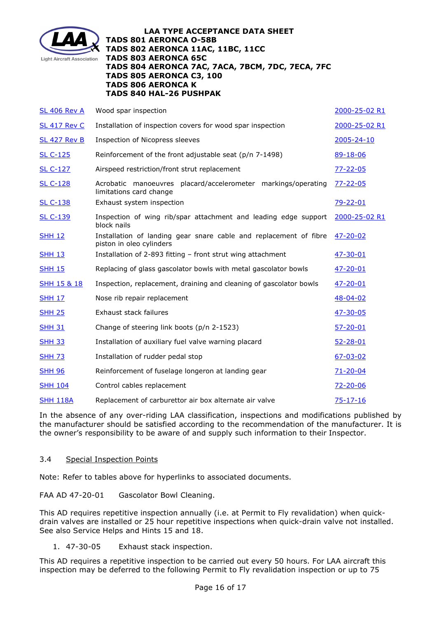

| 2000-25-02 R1<br>2005-24-10 |
|-----------------------------|
|                             |
|                             |
| 89-18-06                    |
| $77 - 22 - 05$              |
| $77 - 22 - 05$              |
| $79 - 22 - 01$              |
| 2000-25-02 R1               |
| $47 - 20 - 02$              |
| $47 - 30 - 01$              |
| $47 - 20 - 01$              |
| 47-20-01                    |
| $48 - 04 - 02$              |
| $47 - 30 - 05$              |
| $57 - 20 - 01$              |
| $52 - 28 - 01$              |
| $67 - 03 - 02$              |
| $71 - 20 - 04$              |
| $72 - 20 - 06$              |
| $75 - 17 - 16$              |
|                             |

In the absence of any over-riding LAA classification, inspections and modifications published by the manufacturer should be satisfied according to the recommendation of the manufacturer. It is the owner's responsibility to be aware of and supply such information to their Inspector.

# 3.4 Special Inspection Points

Note: Refer to tables above for hyperlinks to associated documents.

FAA AD 47-20-01 Gascolator Bowl Cleaning.

This AD requires repetitive inspection annually (i.e. at Permit to Fly revalidation) when quickdrain valves are installed or 25 hour repetitive inspections when quick-drain valve not installed. See also Service Helps and Hints 15 and 18.

1. 47-30-05 Exhaust stack inspection.

This AD requires a repetitive inspection to be carried out every 50 hours. For LAA aircraft this inspection may be deferred to the following Permit to Fly revalidation inspection or up to 75